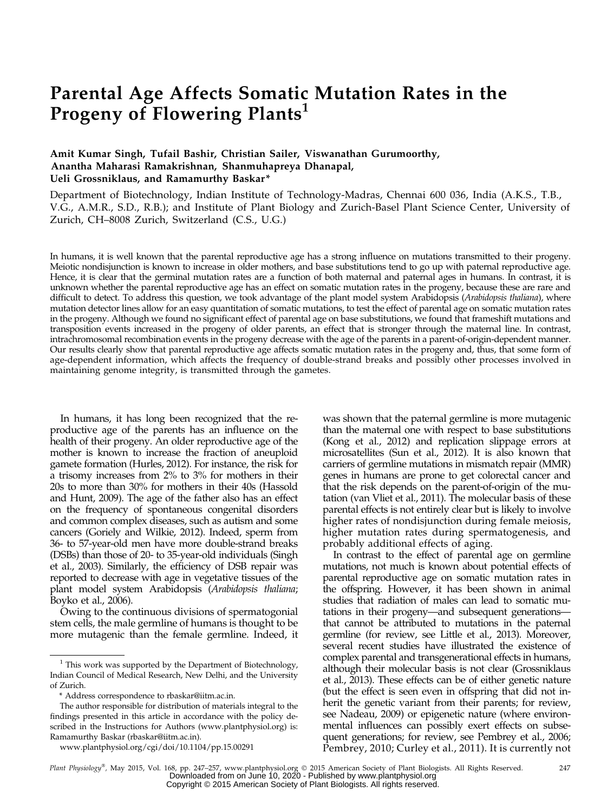# Parental Age Affects Somatic Mutation Rates in the Progeny of Flowering Plants<sup>1</sup>

# Amit Kumar Singh, Tufail Bashir, Christian Sailer, Viswanathan Gurumoorthy, Anantha Maharasi Ramakrishnan, Shanmuhapreya Dhanapal, Ueli Grossniklaus, and Ramamurthy Baskar\*

Department of Biotechnology, Indian Institute of Technology-Madras, Chennai 600 036, India (A.K.S., T.B., V.G., A.M.R., S.D., R.B.); and Institute of Plant Biology and Zurich-Basel Plant Science Center, University of Zurich, CH–8008 Zurich, Switzerland (C.S., U.G.)

In humans, it is well known that the parental reproductive age has a strong influence on mutations transmitted to their progeny. Meiotic nondisjunction is known to increase in older mothers, and base substitutions tend to go up with paternal reproductive age. Hence, it is clear that the germinal mutation rates are a function of both maternal and paternal ages in humans. In contrast, it is unknown whether the parental reproductive age has an effect on somatic mutation rates in the progeny, because these are rare and difficult to detect. To address this question, we took advantage of the plant model system Arabidopsis (Arabidopsis thaliana), where mutation detector lines allow for an easy quantitation of somatic mutations, to test the effect of parental age on somatic mutation rates in the progeny. Although we found no significant effect of parental age on base substitutions, we found that frameshift mutations and transposition events increased in the progeny of older parents, an effect that is stronger through the maternal line. In contrast, intrachromosomal recombination events in the progeny decrease with the age of the parents in a parent-of-origin-dependent manner. Our results clearly show that parental reproductive age affects somatic mutation rates in the progeny and, thus, that some form of age-dependent information, which affects the frequency of double-strand breaks and possibly other processes involved in maintaining genome integrity, is transmitted through the gametes.

In humans, it has long been recognized that the reproductive age of the parents has an influence on the health of their progeny. An older reproductive age of the mother is known to increase the fraction of aneuploid gamete formation (Hurles, 2012). For instance, the risk for a trisomy increases from 2% to 3% for mothers in their 20s to more than 30% for mothers in their 40s (Hassold and Hunt, 2009). The age of the father also has an effect on the frequency of spontaneous congenital disorders and common complex diseases, such as autism and some cancers (Goriely and Wilkie, 2012). Indeed, sperm from 36- to 57-year-old men have more double-strand breaks (DSBs) than those of 20- to 35-year-old individuals (Singh et al., 2003). Similarly, the efficiency of DSB repair was reported to decrease with age in vegetative tissues of the plant model system Arabidopsis (Arabidopsis thaliana; Boyko et al., 2006).

Owing to the continuous divisions of spermatogonial stem cells, the male germline of humans is thought to be more mutagenic than the female germline. Indeed, it

was shown that the paternal germline is more mutagenic than the maternal one with respect to base substitutions (Kong et al., 2012) and replication slippage errors at microsatellites (Sun et al., 2012). It is also known that carriers of germline mutations in mismatch repair (MMR) genes in humans are prone to get colorectal cancer and that the risk depends on the parent-of-origin of the mutation (van Vliet et al., 2011). The molecular basis of these parental effects is not entirely clear but is likely to involve higher rates of nondisjunction during female meiosis, higher mutation rates during spermatogenesis, and probably additional effects of aging.

In contrast to the effect of parental age on germline mutations, not much is known about potential effects of parental reproductive age on somatic mutation rates in the offspring. However, it has been shown in animal studies that radiation of males can lead to somatic mutations in their progeny—and subsequent generations that cannot be attributed to mutations in the paternal germline (for review, see Little et al., 2013). Moreover, several recent studies have illustrated the existence of complex parental and transgenerational effects in humans, although their molecular basis is not clear (Grossniklaus et al., 2013). These effects can be of either genetic nature (but the effect is seen even in offspring that did not inherit the genetic variant from their parents; for review, see Nadeau, 2009) or epigenetic nature (where environmental influences can possibly exert effects on subsequent generations; for review, see Pembrey et al., 2006; Pembrey, 2010; Curley et al., 2011). It is currently not

 $1$  This work was supported by the Department of Biotechnology, Indian Council of Medical Research, New Delhi, and the University of Zurich.

<sup>\*</sup> Address correspondence to [rbaskar@iitm.ac.in.](mailto:rbaskar@iitm.ac.in)

The author responsible for distribution of materials integral to the findings presented in this article in accordance with the policy described in the Instructions for Authors ([www.plantphysiol.org\)](http://www.plantphysiol.org) is: Ramamurthy Baskar [\(rbaskar@iitm.ac.in\)](mailto:rbaskar@iitm.ac.in).

[www.plantphysiol.org/cgi/doi/10.1104/pp.15.00291](http://www.plantphysiol.org/cgi/doi/10.1104/pp.15.00291)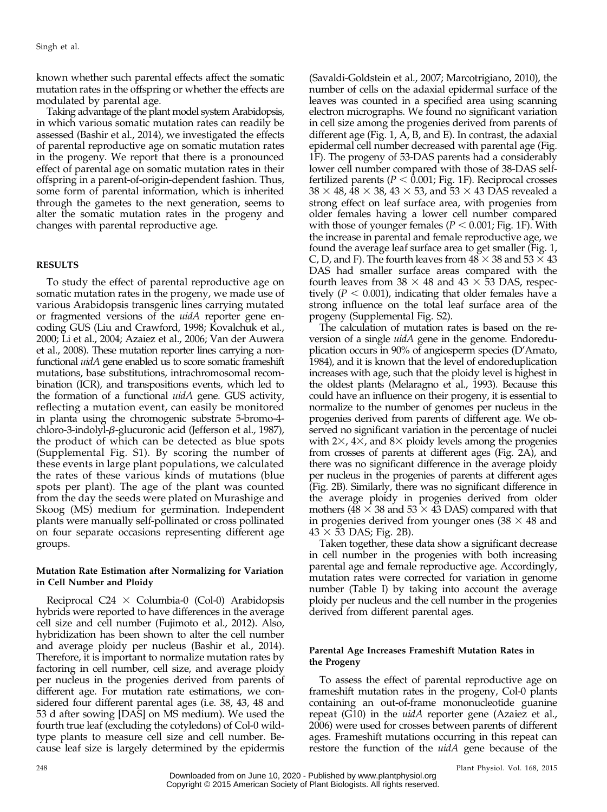known whether such parental effects affect the somatic mutation rates in the offspring or whether the effects are modulated by parental age.

Taking advantage of the plant model system Arabidopsis, in which various somatic mutation rates can readily be assessed (Bashir et al., 2014), we investigated the effects of parental reproductive age on somatic mutation rates in the progeny. We report that there is a pronounced effect of parental age on somatic mutation rates in their offspring in a parent-of-origin-dependent fashion. Thus, some form of parental information, which is inherited through the gametes to the next generation, seems to alter the somatic mutation rates in the progeny and changes with parental reproductive age.

# RESULTS

To study the effect of parental reproductive age on somatic mutation rates in the progeny, we made use of various Arabidopsis transgenic lines carrying mutated or fragmented versions of the uidA reporter gene encoding GUS (Liu and Crawford, 1998; Kovalchuk et al., 2000; Li et al., 2004; Azaiez et al., 2006; Van der Auwera et al., 2008). These mutation reporter lines carrying a nonfunctional uidA gene enabled us to score somatic frameshift mutations, base substitutions, intrachromosomal recombination (ICR), and transpositions events, which led to the formation of a functional uidA gene. GUS activity, reflecting a mutation event, can easily be monitored in planta using the chromogenic substrate 5-bromo-4 chloro-3-indolyl-b-glucuronic acid (Jefferson et al., 1987), the product of which can be detected as blue spots [\(Supplemental Fig. S1\)](http://www.plantphysiol.org/cgi/content/full/pp.15.00291/DC1). By scoring the number of these events in large plant populations, we calculated the rates of these various kinds of mutations (blue spots per plant). The age of the plant was counted from the day the seeds were plated on Murashige and Skoog (MS) medium for germination. Independent plants were manually self-pollinated or cross pollinated on four separate occasions representing different age groups.

#### Mutation Rate Estimation after Normalizing for Variation in Cell Number and Ploidy

Reciprocal C24  $\times$  Columbia-0 (Col-0) Arabidopsis hybrids were reported to have differences in the average cell size and cell number (Fujimoto et al., 2012). Also, hybridization has been shown to alter the cell number and average ploidy per nucleus (Bashir et al., 2014). Therefore, it is important to normalize mutation rates by factoring in cell number, cell size, and average ploidy per nucleus in the progenies derived from parents of different age. For mutation rate estimations, we considered four different parental ages (i.e. 38, 43, 48 and 53 d after sowing [DAS] on MS medium). We used the fourth true leaf (excluding the cotyledons) of Col-0 wildtype plants to measure cell size and cell number. Because leaf size is largely determined by the epidermis

(Savaldi-Goldstein et al., 2007; Marcotrigiano, 2010), the number of cells on the adaxial epidermal surface of the leaves was counted in a specified area using scanning electron micrographs. We found no significant variation in cell size among the progenies derived from parents of different age (Fig. 1, A, B, and E). In contrast, the adaxial epidermal cell number decreased with parental age (Fig. 1F). The progeny of 53-DAS parents had a considerably lower cell number compared with those of 38-DAS selffertilized parents ( $P < 0.001$ ; Fig. 1F). Reciprocal crosses  $38 \times 48$ ,  $48 \times 38$ ,  $43 \times 53$ , and  $53 \times 43$  DAS revealed a strong effect on leaf surface area, with progenies from older females having a lower cell number compared with those of younger females ( $P < 0.001$ ; Fig. 1F). With the increase in parental and female reproductive age, we found the average leaf surface area to get smaller (Fig. 1, C, D, and F). The fourth leaves from  $48 \times 38$  and  $53 \times 43$ DAS had smaller surface areas compared with the fourth leaves from  $38 \times 48$  and  $43 \times 53$  DAS, respectively ( $P < 0.001$ ), indicating that older females have a strong influence on the total leaf surface area of the progeny [\(Supplemental Fig. S2\)](http://www.plantphysiol.org/cgi/content/full/pp.15.00291/DC1).

The calculation of mutation rates is based on the reversion of a single *uidA* gene in the genome. Endoreduplication occurs in 90% of angiosperm species (D'Amato, 1984), and it is known that the level of endoreduplication increases with age, such that the ploidy level is highest in the oldest plants (Melaragno et al., 1993). Because this could have an influence on their progeny, it is essential to normalize to the number of genomes per nucleus in the progenies derived from parents of different age. We observed no significant variation in the percentage of nuclei with  $2\times$ ,  $4\times$ , and  $8\times$  ploidy levels among the progenies from crosses of parents at different ages (Fig. 2A), and there was no significant difference in the average ploidy per nucleus in the progenies of parents at different ages (Fig. 2B). Similarly, there was no significant difference in the average ploidy in progenies derived from older mothers ( $48 \times 38$  and  $53 \times 43$  DAS) compared with that in progenies derived from younger ones  $(38 \times 48$  and  $43 \times 53$  DAS; Fig. 2B).

Taken together, these data show a significant decrease in cell number in the progenies with both increasing parental age and female reproductive age. Accordingly, mutation rates were corrected for variation in genome number (Table I) by taking into account the average ploidy per nucleus and the cell number in the progenies derived from different parental ages.

# Parental Age Increases Frameshift Mutation Rates in the Progeny

To assess the effect of parental reproductive age on frameshift mutation rates in the progeny, Col-0 plants containing an out-of-frame mononucleotide guanine repeat (G10) in the uidA reporter gene (Azaiez et al., 2006) were used for crosses between parents of different ages. Frameshift mutations occurring in this repeat can restore the function of the uidA gene because of the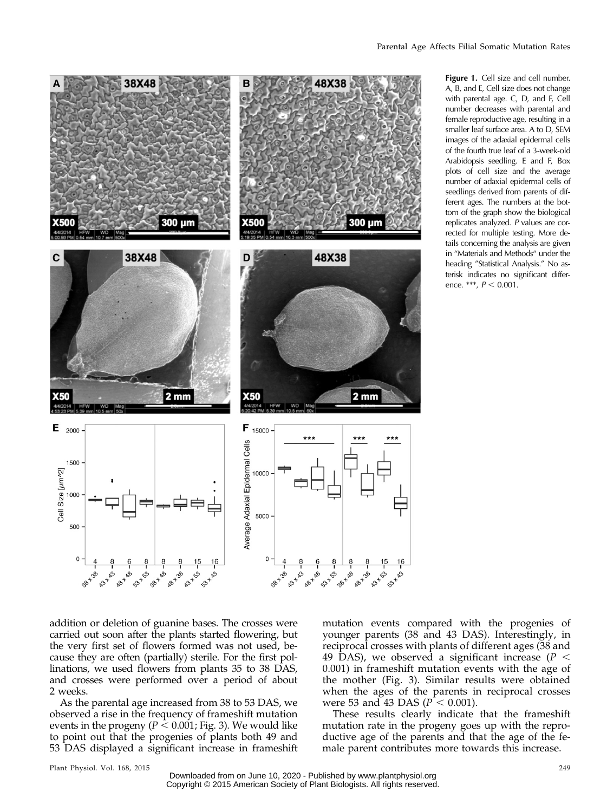

A, B, and E, Cell size does not change with parental age. C, D, and F, Cell number decreases with parental and female reproductive age, resulting in a smaller leaf surface area. A to D, SEM images of the adaxial epidermal cells of the fourth true leaf of a 3-week-old Arabidopsis seedling. E and F, Box plots of cell size and the average number of adaxial epidermal cells of seedlings derived from parents of different ages. The numbers at the bottom of the graph show the biological replicates analyzed. P values are corrected for multiple testing. More details concerning the analysis are given in "Materials and Methods" under the heading "Statistical Analysis." No asterisk indicates no significant difference. \*\*\*,  $P < 0.001$ .

Figure 1. Cell size and cell number.

addition or deletion of guanine bases. The crosses were carried out soon after the plants started flowering, but the very first set of flowers formed was not used, because they are often (partially) sterile. For the first pollinations, we used flowers from plants 35 to 38 DAS, and crosses were performed over a period of about 2 weeks.

As the parental age increased from 38 to 53 DAS, we observed a rise in the frequency of frameshift mutation events in the progeny ( $P \le 0.001$ ; Fig. 3). We would like to point out that the progenies of plants both 49 and 53 DAS displayed a significant increase in frameshift mutation events compared with the progenies of younger parents (38 and 43 DAS). Interestingly, in reciprocal crosses with plants of different ages (38 and 49 DAS), we observed a significant increase ( $P <$ 0.001) in frameshift mutation events with the age of the mother (Fig. 3). Similar results were obtained when the ages of the parents in reciprocal crosses were 53 and 43 DAS ( $P \sim 0.001$ ).

These results clearly indicate that the frameshift mutation rate in the progeny goes up with the reproductive age of the parents and that the age of the female parent contributes more towards this increase.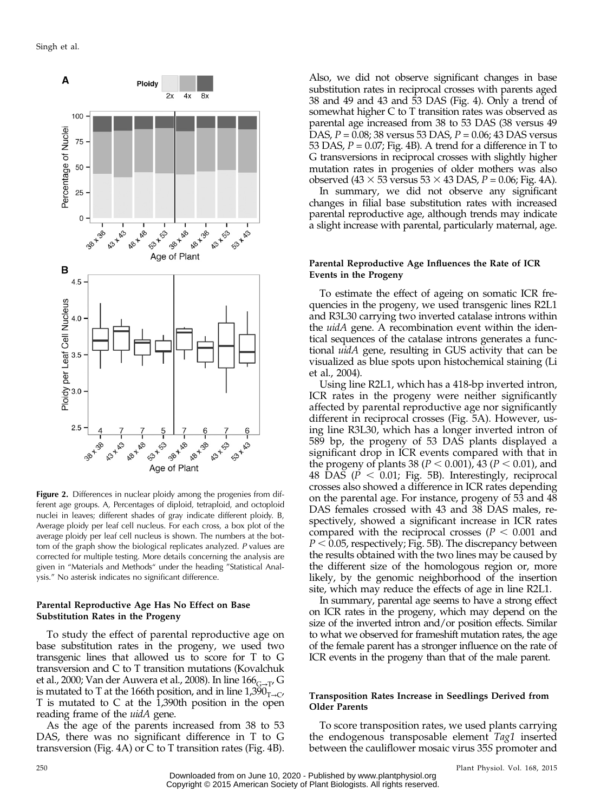

Figure 2. Differences in nuclear ploidy among the progenies from different age groups. A, Percentages of diploid, tetraploid, and octoploid nuclei in leaves; different shades of gray indicate different ploidy. B, Average ploidy per leaf cell nucleus. For each cross, a box plot of the average ploidy per leaf cell nucleus is shown. The numbers at the bottom of the graph show the biological replicates analyzed. P values are corrected for multiple testing. More details concerning the analysis are given in "Materials and Methods" under the heading "Statistical Analysis." No asterisk indicates no significant difference.

# Parental Reproductive Age Has No Effect on Base Substitution Rates in the Progeny

To study the effect of parental reproductive age on base substitution rates in the progeny, we used two transgenic lines that allowed us to score for T to G transversion and C to T transition mutations (Kovalchuk et al., 2000; Van der Auwera et al., 2008). In line  $166_{G\rightarrow T}$ , G is mutated to T at the 166th position, and in line  $1,390$ <sub>T→C</sub>, T is mutated to C at the 1,390th position in the open reading frame of the *uidA* gene.

As the age of the parents increased from 38 to 53 DAS, there was no significant difference in T to G transversion (Fig. 4A) or C to T transition rates (Fig. 4B).

Also, we did not observe significant changes in base substitution rates in reciprocal crosses with parents aged 38 and 49 and 43 and 53 DAS (Fig. 4). Only a trend of somewhat higher C to T transition rates was observed as parental age increased from 38 to 53 DAS (38 versus 49 DAS,  $P = 0.08$ ; 38 versus 53 DAS,  $P = 0.06$ ; 43 DAS versus 53 DAS,  $P = 0.07$ ; Fig. 4B). A trend for a difference in T to G transversions in reciprocal crosses with slightly higher mutation rates in progenies of older mothers was also observed (43  $\times$  53 versus 53  $\times$  43 DAS, P = 0.06; Fig. 4A).

In summary, we did not observe any significant changes in filial base substitution rates with increased parental reproductive age, although trends may indicate a slight increase with parental, particularly maternal, age.

#### Parental Reproductive Age Influences the Rate of ICR Events in the Progeny

To estimate the effect of ageing on somatic ICR frequencies in the progeny, we used transgenic lines R2L1 and R3L30 carrying two inverted catalase introns within the *uidA* gene. A recombination event within the identical sequences of the catalase introns generates a functional uidA gene, resulting in GUS activity that can be visualized as blue spots upon histochemical staining (Li et al., 2004).

Using line R2L1, which has a 418-bp inverted intron, ICR rates in the progeny were neither significantly affected by parental reproductive age nor significantly different in reciprocal crosses (Fig. 5A). However, using line R3L30, which has a longer inverted intron of 589 bp, the progeny of 53 DAS plants displayed a significant drop in ICR events compared with that in the progeny of plants 38 ( $P < 0.001$ ), 43 ( $P < 0.01$ ), and 48 DAS ( $P < 0.01$ ; Fig. 5B). Interestingly, reciprocal crosses also showed a difference in ICR rates depending on the parental age. For instance, progeny of 53 and 48 DAS females crossed with 43 and 38 DAS males, respectively, showed a significant increase in ICR rates compared with the reciprocal crosses ( $P < 0.001$  and  $P < 0.05$ , respectively; Fig. 5B). The discrepancy between the results obtained with the two lines may be caused by the different size of the homologous region or, more likely, by the genomic neighborhood of the insertion site, which may reduce the effects of age in line R2L1.

In summary, parental age seems to have a strong effect on ICR rates in the progeny, which may depend on the size of the inverted intron and/or position effects. Similar to what we observed for frameshift mutation rates, the age of the female parent has a stronger influence on the rate of ICR events in the progeny than that of the male parent.

# Transposition Rates Increase in Seedlings Derived from Older Parents

To score transposition rates, we used plants carrying the endogenous transposable element Tag1 inserted between the cauliflower mosaic virus 35S promoter and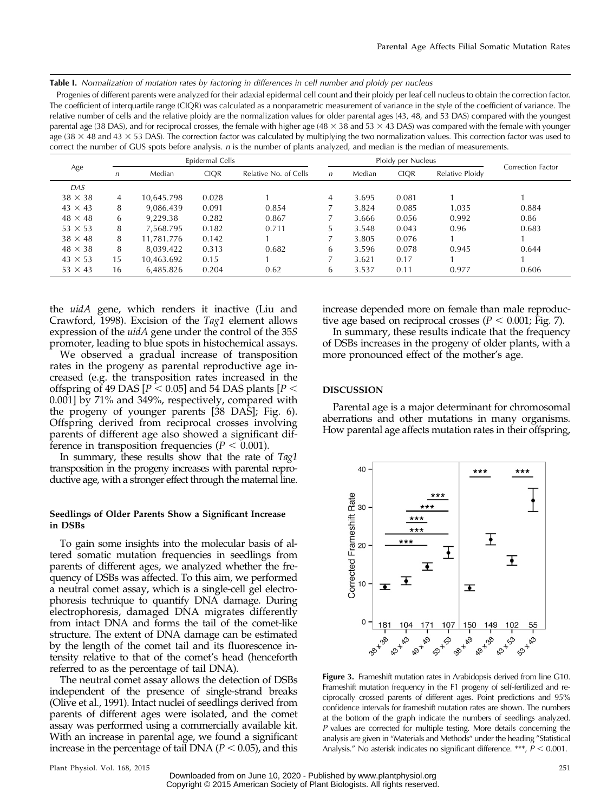Table I. Normalization of mutation rates by factoring in differences in cell number and ploidy per nucleus

Progenies of different parents were analyzed for their adaxial epidermal cell count and their ploidy per leaf cell nucleus to obtain the correction factor. The coefficient of interquartile range (CIQR) was calculated as a nonparametric measurement of variance in the style of the coefficient of variance. The relative number of cells and the relative ploidy are the normalization values for older parental ages (43, 48, and 53 DAS) compared with the youngest parental age (38 DAS), and for reciprocal crosses, the female with higher age (48  $\times$  38 and 53  $\times$  43 DAS) was compared with the female with younger age (38  $\times$  48 and 43  $\times$  53 DAS). The correction factor was calculated by multiplying the two normalization values. This correction factor was used to correct the number of GUS spots before analysis. n is the number of plants analyzed, and median is the median of measurements.

| Age            | Epidermal Cells |            |             |                       | Ploidy per Nucleus |        |             |                 |                   |
|----------------|-----------------|------------|-------------|-----------------------|--------------------|--------|-------------|-----------------|-------------------|
|                | n               | Median     | <b>CIOR</b> | Relative No. of Cells | $\mathsf{n}$       | Median | <b>CIOR</b> | Relative Ploidy | Correction Factor |
| DAS            |                 |            |             |                       |                    |        |             |                 |                   |
| $38 \times 38$ | 4               | 10.645.798 | 0.028       |                       | 4                  | 3.695  | 0.081       |                 |                   |
| $43 \times 43$ | 8               | 9,086.439  | 0.091       | 0.854                 |                    | 3.824  | 0.085       | 1.035           | 0.884             |
| $48 \times 48$ | 6               | 9.229.38   | 0.282       | 0.867                 |                    | 3.666  | 0.056       | 0.992           | 0.86              |
| $53 \times 53$ | 8               | 7.568.795  | 0.182       | 0.711                 | 5                  | 3.548  | 0.043       | 0.96            | 0.683             |
| $38 \times 48$ | 8               | 11.781.776 | 0.142       |                       | 7                  | 3.805  | 0.076       |                 |                   |
| $48 \times 38$ | 8               | 8.039.422  | 0.313       | 0.682                 | 6                  | 3.596  | 0.078       | 0.945           | 0.644             |
| $43 \times 53$ | 15              | 10,463.692 | 0.15        |                       |                    | 3.621  | 0.17        |                 |                   |
| $53 \times 43$ | 16              | 6,485.826  | 0.204       | 0.62                  | 6                  | 3.537  | 0.11        | 0.977           | 0.606             |

the *uidA* gene, which renders it inactive (Liu and Crawford, 1998). Excision of the Tag1 element allows expression of the *uidA* gene under the control of the 35S promoter, leading to blue spots in histochemical assays.

We observed a gradual increase of transposition rates in the progeny as parental reproductive age increased (e.g. the transposition rates increased in the offspring of 49 DAS  $[P < 0.05]$  and 54 DAS plants  $[P <$ 0.001] by 71% and 349%, respectively, compared with the progeny of younger parents [38 DAS]; Fig. 6). Offspring derived from reciprocal crosses involving parents of different age also showed a significant difference in transposition frequencies ( $P < 0.001$ ).

In summary, these results show that the rate of Tag1 transposition in the progeny increases with parental reproductive age, with a stronger effect through the maternal line.

#### Seedlings of Older Parents Show a Significant Increase in DSBs

To gain some insights into the molecular basis of altered somatic mutation frequencies in seedlings from parents of different ages, we analyzed whether the frequency of DSBs was affected. To this aim, we performed a neutral comet assay, which is a single-cell gel electrophoresis technique to quantify DNA damage. During electrophoresis, damaged DNA migrates differently from intact DNA and forms the tail of the comet-like structure. The extent of DNA damage can be estimated by the length of the comet tail and its fluorescence intensity relative to that of the comet's head (henceforth referred to as the percentage of tail DNA).

The neutral comet assay allows the detection of DSBs independent of the presence of single-strand breaks (Olive et al., 1991). Intact nuclei of seedlings derived from parents of different ages were isolated, and the comet assay was performed using a commercially available kit. With an increase in parental age, we found a significant increase in the percentage of tail DNA ( $P < 0.05$ ), and this increase depended more on female than male reproductive age based on reciprocal crosses ( $P < 0.001$ ; Fig. 7).

In summary, these results indicate that the frequency of DSBs increases in the progeny of older plants, with a more pronounced effect of the mother's age.

#### DISCUSSION

Parental age is a major determinant for chromosomal aberrations and other mutations in many organisms. How parental age affects mutation rates in their offspring,



Figure 3. Frameshift mutation rates in Arabidopsis derived from line G10. Frameshift mutation frequency in the F1 progeny of self-fertilized and reciprocally crossed parents of different ages. Point predictions and 95% confidence intervals for frameshift mutation rates are shown. The numbers at the bottom of the graph indicate the numbers of seedlings analyzed. P values are corrected for multiple testing. More details concerning the analysis are given in "Materials and Methods" under the heading "Statistical Analysis." No asterisk indicates no significant difference. \*\*\*,  $P < 0.001$ .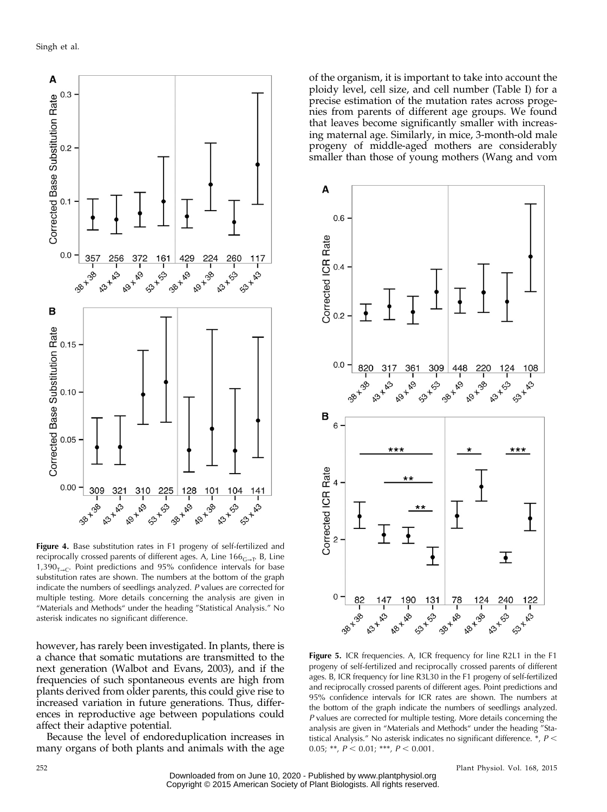

Figure 4. Base substitution rates in F1 progeny of self-fertilized and reciprocally crossed parents of different ages. A, Line 166 $_{\textrm{\tiny{G- T}}}$ . B, Line 1,390 $_{T\rightarrow C}$ . Point predictions and 95% confidence intervals for base substitution rates are shown. The numbers at the bottom of the graph indicate the numbers of seedlings analyzed. P values are corrected for multiple testing. More details concerning the analysis are given in "Materials and Methods" under the heading "Statistical Analysis." No asterisk indicates no significant difference.

however, has rarely been investigated. In plants, there is a chance that somatic mutations are transmitted to the next generation (Walbot and Evans, 2003), and if the frequencies of such spontaneous events are high from plants derived from older parents, this could give rise to increased variation in future generations. Thus, differences in reproductive age between populations could affect their adaptive potential.

Because the level of endoreduplication increases in many organs of both plants and animals with the age

of the organism, it is important to take into account the ploidy level, cell size, and cell number (Table I) for a precise estimation of the mutation rates across progenies from parents of different age groups. We found that leaves become significantly smaller with increasing maternal age. Similarly, in mice, 3-month-old male progeny of middle-aged mothers are considerably smaller than those of young mothers (Wang and vom



Figure 5. ICR frequencies. A, ICR frequency for line R2L1 in the F1 progeny of self-fertilized and reciprocally crossed parents of different ages. B, ICR frequency for line R3L30 in the F1 progeny of self-fertilized and reciprocally crossed parents of different ages. Point predictions and 95% confidence intervals for ICR rates are shown. The numbers at the bottom of the graph indicate the numbers of seedlings analyzed. P values are corrected for multiple testing. More details concerning the analysis are given in "Materials and Methods" under the heading "Statistical Analysis." No asterisk indicates no significant difference.  $^*$ ,  $P$  < 0.05; \*\*,  $P < 0.01$ ; \*\*\*,  $P < 0.001$ .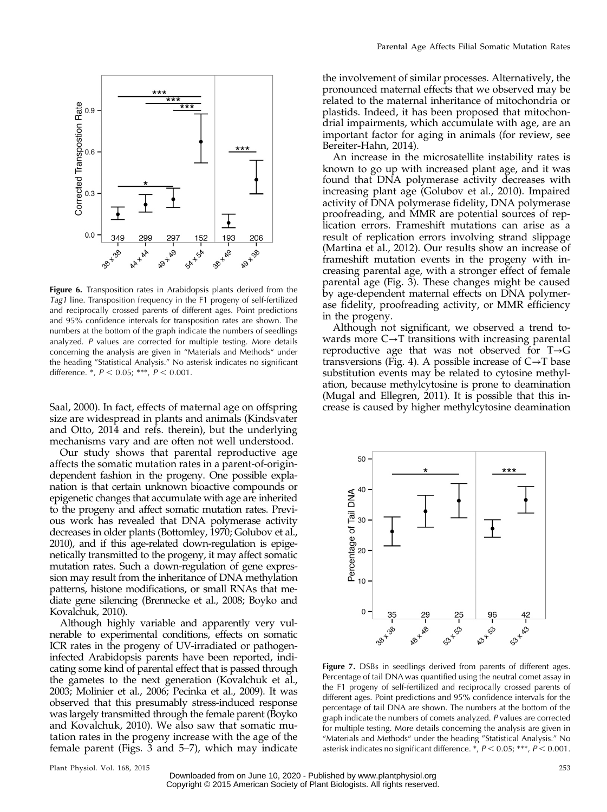

Figure 6. Transposition rates in Arabidopsis plants derived from the Tag1 line. Transposition frequency in the F1 progeny of self-fertilized and reciprocally crossed parents of different ages. Point predictions and 95% confidence intervals for transposition rates are shown. The numbers at the bottom of the graph indicate the numbers of seedlings analyzed. P values are corrected for multiple testing. More details concerning the analysis are given in "Materials and Methods" under the heading "Statistical Analysis." No asterisk indicates no significant difference. \*,  $P < 0.05$ ; \*\*\*,  $P < 0.001$ .

Saal, 2000). In fact, effects of maternal age on offspring size are widespread in plants and animals (Kindsvater and Otto, 2014 and refs. therein), but the underlying mechanisms vary and are often not well understood.

Our study shows that parental reproductive age affects the somatic mutation rates in a parent-of-origindependent fashion in the progeny. One possible explanation is that certain unknown bioactive compounds or epigenetic changes that accumulate with age are inherited to the progeny and affect somatic mutation rates. Previous work has revealed that DNA polymerase activity decreases in older plants (Bottomley, 1970; Golubov et al., 2010), and if this age-related down-regulation is epigenetically transmitted to the progeny, it may affect somatic mutation rates. Such a down-regulation of gene expression may result from the inheritance of DNA methylation patterns, histone modifications, or small RNAs that mediate gene silencing (Brennecke et al., 2008; Boyko and Kovalchuk, 2010).

Although highly variable and apparently very vulnerable to experimental conditions, effects on somatic ICR rates in the progeny of UV-irradiated or pathogeninfected Arabidopsis parents have been reported, indicating some kind of parental effect that is passed through the gametes to the next generation (Kovalchuk et al., 2003; Molinier et al., 2006; Pecinka et al., 2009). It was observed that this presumably stress-induced response was largely transmitted through the female parent (Boyko and Kovalchuk, 2010). We also saw that somatic mutation rates in the progeny increase with the age of the female parent (Figs. 3 and 5–7), which may indicate

the involvement of similar processes. Alternatively, the pronounced maternal effects that we observed may be related to the maternal inheritance of mitochondria or plastids. Indeed, it has been proposed that mitochondrial impairments, which accumulate with age, are an important factor for aging in animals (for review, see Bereiter-Hahn, 2014).

An increase in the microsatellite instability rates is known to go up with increased plant age, and it was found that DNA polymerase activity decreases with increasing plant age (Golubov et al., 2010). Impaired activity of DNA polymerase fidelity, DNA polymerase proofreading, and MMR are potential sources of replication errors. Frameshift mutations can arise as a result of replication errors involving strand slippage (Martina et al., 2012). Our results show an increase of frameshift mutation events in the progeny with increasing parental age, with a stronger effect of female parental age (Fig. 3). These changes might be caused by age-dependent maternal effects on DNA polymerase fidelity, proofreading activity, or MMR efficiency in the progeny.

Although not significant, we observed a trend towards more  $C \rightarrow T$  transitions with increasing parental reproductive age that was not observed for T→G transversions (Fig. 4). A possible increase of  $C \rightarrow T$  base substitution events may be related to cytosine methylation, because methylcytosine is prone to deamination (Mugal and Ellegren, 2011). It is possible that this increase is caused by higher methylcytosine deamination



Figure 7. DSBs in seedlings derived from parents of different ages. Percentage of tail DNA was quantified using the neutral comet assay in the F1 progeny of self-fertilized and reciprocally crossed parents of different ages. Point predictions and 95% confidence intervals for the percentage of tail DNA are shown. The numbers at the bottom of the graph indicate the numbers of comets analyzed. P values are corrected for multiple testing. More details concerning the analysis are given in "Materials and Methods" under the heading "Statistical Analysis." No asterisk indicates no significant difference.  $^*$ ,  $P < 0.05$ ; \*\*\*,  $P < 0.001$ .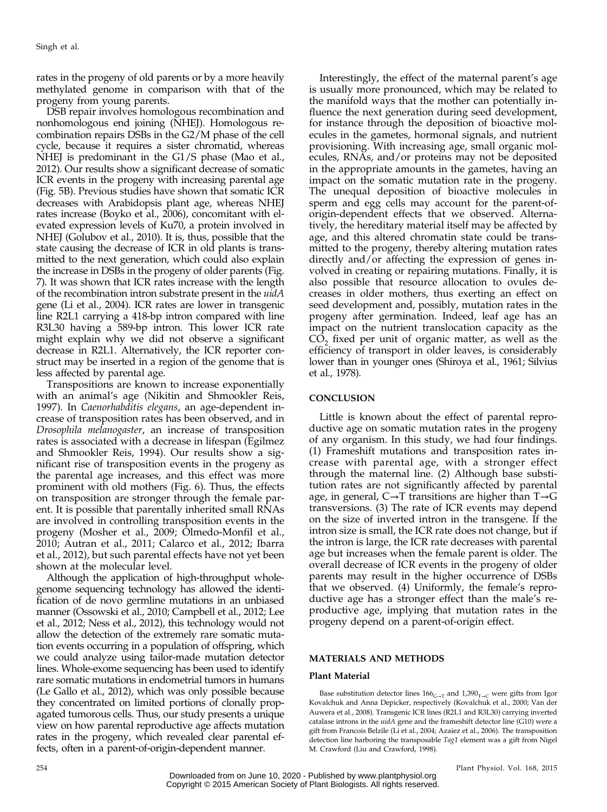rates in the progeny of old parents or by a more heavily methylated genome in comparison with that of the progeny from young parents.

DSB repair involves homologous recombination and nonhomologous end joining (NHEJ). Homologous recombination repairs DSBs in the G2/M phase of the cell cycle, because it requires a sister chromatid, whereas NHEJ is predominant in the G1/S phase (Mao et al., 2012). Our results show a significant decrease of somatic ICR events in the progeny with increasing parental age (Fig. 5B). Previous studies have shown that somatic ICR decreases with Arabidopsis plant age, whereas NHEJ rates increase (Boyko et al., 2006), concomitant with elevated expression levels of Ku70, a protein involved in NHEJ (Golubov et al., 2010). It is, thus, possible that the state causing the decrease of ICR in old plants is transmitted to the next generation, which could also explain the increase in DSBs in the progeny of older parents (Fig. 7). It was shown that ICR rates increase with the length of the recombination intron substrate present in the *uidA* gene (Li et al., 2004). ICR rates are lower in transgenic line R2L1 carrying a 418-bp intron compared with line R3L30 having a 589-bp intron. This lower ICR rate might explain why we did not observe a significant decrease in R2L1. Alternatively, the ICR reporter construct may be inserted in a region of the genome that is less affected by parental age.

Transpositions are known to increase exponentially with an animal's age (Nikitin and Shmookler Reis, 1997). In Caenorhabditis elegans, an age-dependent increase of transposition rates has been observed, and in Drosophila melanogaster, an increase of transposition rates is associated with a decrease in lifespan (Egilmez and Shmookler Reis, 1994). Our results show a significant rise of transposition events in the progeny as the parental age increases, and this effect was more prominent with old mothers (Fig. 6). Thus, the effects on transposition are stronger through the female parent. It is possible that parentally inherited small RNAs are involved in controlling transposition events in the progeny (Mosher et al., 2009; Olmedo-Monfil et al., 2010; Autran et al., 2011; Calarco et al., 2012; Ibarra et al., 2012), but such parental effects have not yet been shown at the molecular level.

Although the application of high-throughput wholegenome sequencing technology has allowed the identification of de novo germline mutations in an unbiased manner (Ossowski et al., 2010; Campbell et al., 2012; Lee et al., 2012; Ness et al., 2012), this technology would not allow the detection of the extremely rare somatic mutation events occurring in a population of offspring, which we could analyze using tailor-made mutation detector lines. Whole-exome sequencing has been used to identify rare somatic mutations in endometrial tumors in humans (Le Gallo et al., 2012), which was only possible because they concentrated on limited portions of clonally propagated tumorous cells. Thus, our study presents a unique view on how parental reproductive age affects mutation rates in the progeny, which revealed clear parental effects, often in a parent-of-origin-dependent manner.

Interestingly, the effect of the maternal parent's age is usually more pronounced, which may be related to the manifold ways that the mother can potentially influence the next generation during seed development, for instance through the deposition of bioactive molecules in the gametes, hormonal signals, and nutrient provisioning. With increasing age, small organic molecules, RNAs, and/or proteins may not be deposited in the appropriate amounts in the gametes, having an impact on the somatic mutation rate in the progeny. The unequal deposition of bioactive molecules in sperm and egg cells may account for the parent-oforigin-dependent effects that we observed. Alternatively, the hereditary material itself may be affected by age, and this altered chromatin state could be transmitted to the progeny, thereby altering mutation rates directly and/or affecting the expression of genes involved in creating or repairing mutations. Finally, it is also possible that resource allocation to ovules decreases in older mothers, thus exerting an effect on seed development and, possibly, mutation rates in the progeny after germination. Indeed, leaf age has an impact on the nutrient translocation capacity as the  $CO<sub>2</sub>$  fixed per unit of organic matter, as well as the efficiency of transport in older leaves, is considerably lower than in younger ones (Shiroya et al., 1961; Silvius et al., 1978).

# **CONCLUSION**

Little is known about the effect of parental reproductive age on somatic mutation rates in the progeny of any organism. In this study, we had four findings. (1) Frameshift mutations and transposition rates increase with parental age, with a stronger effect through the maternal line. (2) Although base substitution rates are not significantly affected by parental age, in general, C→T transitions are higher than T→G transversions. (3) The rate of ICR events may depend on the size of inverted intron in the transgene. If the intron size is small, the ICR rate does not change, but if the intron is large, the ICR rate decreases with parental age but increases when the female parent is older. The overall decrease of ICR events in the progeny of older parents may result in the higher occurrence of DSBs that we observed. (4) Uniformly, the female's reproductive age has a stronger effect than the male's reproductive age, implying that mutation rates in the progeny depend on a parent-of-origin effect.

# MATERIALS AND METHODS

#### Plant Material

Base substitution detector lines  $166<sub>G\rightarrow T</sub>$  and  $1,390<sub>T\rightarrow C</sub>$  were gifts from Igor Kovalchuk and Anna Depicker, respectively (Kovalchuk et al., 2000; Van der Auwera et al., 2008). Transgenic ICR lines (R2L1 and R3L30) carrying inverted catalase introns in the *uidA* gene and the frameshift detector line (G10) were a gift from Francois Belzile (Li et al., 2004; Azaiez et al., 2006). The transposition detection line harboring the transposable Tag1 element was a gift from Nigel M. Crawford (Liu and Crawford, 1998).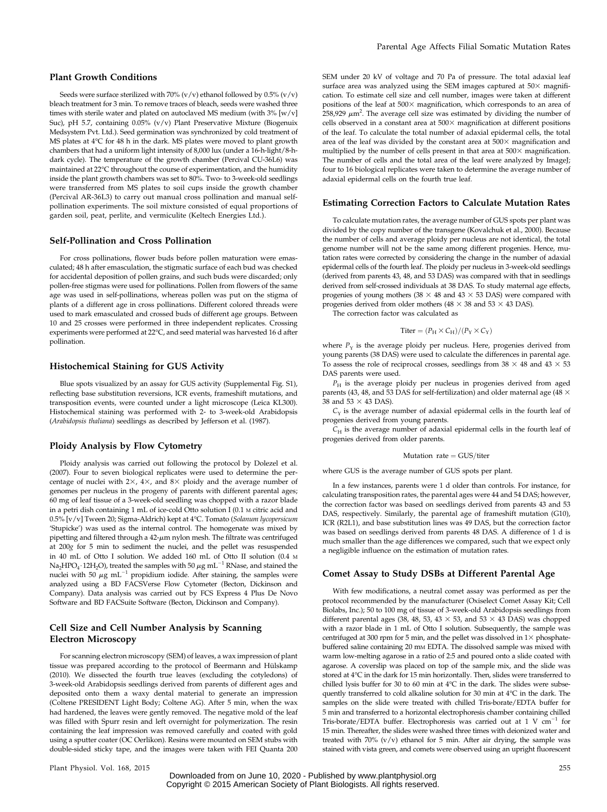# Plant Growth Conditions

Seeds were surface sterilized with 70% (v/v) ethanol followed by  $0.5%$  (v/v) bleach treatment for 3 min. To remove traces of bleach, seeds were washed three times with sterile water and plated on autoclaved MS medium (with 3% [w/v] Suc), pH 5.7, containing 0.05% (v/v) Plant Preservative Mixture (Biogenuix Medsystem Pvt. Ltd.). Seed germination was synchronized by cold treatment of MS plates at 4°C for 48 h in the dark. MS plates were moved to plant growth chambers that had a uniform light intensity of 8,000 lux (under a 16-h-light/8-hdark cycle). The temperature of the growth chamber (Percival CU-36L6) was maintained at 22°C throughout the course of experimentation, and the humidity inside the plant growth chambers was set to 80%. Two- to 3-week-old seedlings were transferred from MS plates to soil cups inside the growth chamber (Percival AR-36L3) to carry out manual cross pollination and manual selfpollination experiments. The soil mixture consisted of equal proportions of garden soil, peat, perlite, and vermiculite (Keltech Energies Ltd.).

#### Self-Pollination and Cross Pollination

For cross pollinations, flower buds before pollen maturation were emasculated; 48 h after emasculation, the stigmatic surface of each bud was checked for accidental deposition of pollen grains, and such buds were discarded; only pollen-free stigmas were used for pollinations. Pollen from flowers of the same age was used in self-pollinations, whereas pollen was put on the stigma of plants of a different age in cross pollinations. Different colored threads were used to mark emasculated and crossed buds of different age groups. Between 10 and 25 crosses were performed in three independent replicates. Crossing experiments were performed at 22°C, and seed material was harvested 16 d after pollination.

#### Histochemical Staining for GUS Activity

Blue spots visualized by an assay for GUS activity ([Supplemental Fig. S1\)](http://www.plantphysiol.org/cgi/content/full/pp.15.00291/DC1), reflecting base substitution reversions, ICR events, frameshift mutations, and transposition events, were counted under a light microscope (Leica KL300). Histochemical staining was performed with 2- to 3-week-old Arabidopsis (Arabidopsis thaliana) seedlings as described by Jefferson et al. (1987).

#### Ploidy Analysis by Flow Cytometry

Ploidy analysis was carried out following the protocol by Dolezel et al. (2007). Four to seven biological replicates were used to determine the percentage of nuclei with  $2\times$ ,  $4\times$ , and  $8\times$  ploidy and the average number of genomes per nucleus in the progeny of parents with different parental ages; 60 mg of leaf tissue of a 3-week-old seedling was chopped with a razor blade in a petri dish containing 1 mL of ice-cold Otto solution I (0.1 <sup>M</sup> citric acid and 0.5% [v/v] Tween 20; Sigma-Aldrich) kept at 4°C. Tomato (Solanum lycopersicum 'Stupicke') was used as the internal control. The homogenate was mixed by pipetting and filtered through a  $42$ - $\mu$ m nylon mesh. The filtrate was centrifuged at 200g for 5 min to sediment the nuclei, and the pellet was resuspended in 40 mL of Otto I solution. We added 160 mL of Otto II solution (0.4 <sup>M</sup> Na<sub>2</sub>HPO<sub>4</sub> · 12H<sub>2</sub>O), treated the samples with 50  $\mu$ g mL<sup>-1</sup> RNase, and stained the nuclei with 50  $\mu$ g mL<sup>-1</sup> propidium iodide. After staining, the samples were analyzed using a BD FACSVerse Flow Cytometer (Becton, Dickinson and Company). Data analysis was carried out by FCS Express 4 Plus De Novo Software and BD FACSuite Software (Becton, Dickinson and Company).

## Cell Size and Cell Number Analysis by Scanning Electron Microscopy

For scanning electron microscopy (SEM) of leaves, a wax impression of plant tissue was prepared according to the protocol of Beermann and Hülskamp (2010). We dissected the fourth true leaves (excluding the cotyledons) of 3-week-old Arabidopsis seedlings derived from parents of different ages and deposited onto them a waxy dental material to generate an impression (Coltene PRESIDENT Light Body; Coltene AG). After 5 min, when the wax had hardened, the leaves were gently removed. The negative mold of the leaf was filled with Spurr resin and left overnight for polymerization. The resin containing the leaf impression was removed carefully and coated with gold using a sputter coater (OC Oerlikon). Resins were mounted on SEM stubs with double-sided sticky tape, and the images were taken with FEI Quanta 200 SEM under 20 kV of voltage and 70 Pa of pressure. The total adaxial leaf surface area was analyzed using the SEM images captured at  $50\times$  magnification. To estimate cell size and cell number, images were taken at different positions of the leaf at  $500\times$  magnification, which corresponds to an area of  $258,929 \ \mu m^2$ . The average cell size was estimated by dividing the number of cells observed in a constant area at  $500\times$  magnification at different positions of the leaf. To calculate the total number of adaxial epidermal cells, the total area of the leaf was divided by the constant area at  $\frac{1}{500}$  magnification and multiplied by the number of cells present in that area at  $500\times$  magnification. The number of cells and the total area of the leaf were analyzed by ImageJ; four to 16 biological replicates were taken to determine the average number of adaxial epidermal cells on the fourth true leaf.

#### Estimating Correction Factors to Calculate Mutation Rates

To calculate mutation rates, the average number of GUS spots per plant was divided by the copy number of the transgene (Kovalchuk et al., 2000). Because the number of cells and average ploidy per nucleus are not identical, the total genome number will not be the same among different progenies. Hence, mutation rates were corrected by considering the change in the number of adaxial epidermal cells of the fourth leaf. The ploidy per nucleus in 3-week-old seedlings (derived from parents 43, 48, and 53 DAS) was compared with that in seedlings derived from self-crossed individuals at 38 DAS. To study maternal age effects, progenies of young mothers (38  $\times$  48 and 43  $\times$  53 DAS) were compared with progenies derived from older mothers (48  $\times$  38 and 53  $\times$  43 DAS).

The correction factor was calculated as

$$
Titer = (P_H \times C_H)/(P_Y \times C_Y)
$$

where  $P_Y$  is the average ploidy per nucleus. Here, progenies derived from young parents (38 DAS) were used to calculate the differences in parental age. To assess the role of reciprocal crosses, seedlings from 38  $\times$  48 and 43  $\times$  53 DAS parents were used.

 $P_H$  is the average ploidy per nucleus in progenies derived from aged parents (43, 48, and 53 DAS for self-fertilization) and older maternal age (48  $\times$ 38 and 53  $\times$  43 DAS).

 $C_Y$  is the average number of adaxial epidermal cells in the fourth leaf of progenies derived from young parents.

 $C_H$  is the average number of adaxial epidermal cells in the fourth leaf of progenies derived from older parents.

#### Mutation  $rate = GUS/titer$

where GUS is the average number of GUS spots per plant.

In a few instances, parents were 1 d older than controls. For instance, for calculating transposition rates, the parental ages were 44 and 54 DAS; however, the correction factor was based on seedlings derived from parents 43 and 53 DAS, respectively. Similarly, the parental age of frameshift mutation (G10), ICR (R2L1), and base substitution lines was 49 DAS, but the correction factor was based on seedlings derived from parents 48 DAS. A difference of 1 d is much smaller than the age differences we compared, such that we expect only a negligible influence on the estimation of mutation rates.

#### Comet Assay to Study DSBs at Different Parental Age

With few modifications, a neutral comet assay was performed as per the protocol recommended by the manufacturer (Oxiselect Comet Assay Kit; Cell Biolabs, Inc.); 50 to 100 mg of tissue of 3-week-old Arabidopsis seedlings from different parental ages (38, 48, 53, 43  $\times$  53, and 53  $\times$  43 DAS) was chopped with a razor blade in 1 mL of Otto I solution. Subsequently, the sample was centrifuged at 300 rpm for 5 min, and the pellet was dissolved in  $1\times$  phosphatebuffered saline containing 20 mm EDTA. The dissolved sample was mixed with warm low-melting agarose in a ratio of 2:5 and poured onto a slide coated with agarose. A coverslip was placed on top of the sample mix, and the slide was stored at 4°C in the dark for 15 min horizontally. Then, slides were transferred to chilled lysis buffer for 30 to 60 min at 4°C in the dark. The slides were subsequently transferred to cold alkaline solution for 30 min at 4°C in the dark. The samples on the slide were treated with chilled Tris-borate/EDTA buffer for 5 min and transferred to a horizontal electrophoresis chamber containing chilled Tris-borate/EDTA buffer. Electrophoresis was carried out at  $1 \,$  V  $cm^{-1}$  for 15 min. Thereafter, the slides were washed three times with deionized water and treated with 70% (v/v) ethanol for 5 min. After air drying, the sample was stained with vista green, and comets were observed using an upright fluorescent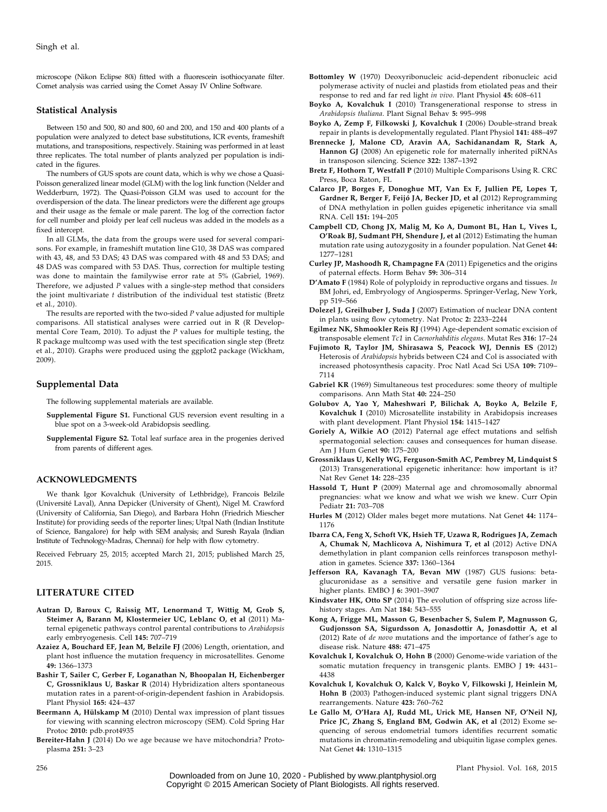microscope (Nikon Eclipse 80i) fitted with a fluorescein isothiocyanate filter. Comet analysis was carried using the Comet Assay IV Online Software.

#### Statistical Analysis

Between 150 and 500, 80 and 800, 60 and 200, and 150 and 400 plants of a population were analyzed to detect base substitutions, ICR events, frameshift mutations, and transpositions, respectively. Staining was performed in at least three replicates. The total number of plants analyzed per population is indicated in the figures.

The numbers of GUS spots are count data, which is why we chose a Quasi-Poisson generalized linear model (GLM) with the log link function (Nelder and Wedderburn, 1972). The Quasi-Poisson GLM was used to account for the overdispersion of the data. The linear predictors were the different age groups and their usage as the female or male parent. The log of the correction factor for cell number and ploidy per leaf cell nucleus was added in the models as a fixed intercept.

In all GLMs, the data from the groups were used for several comparisons. For example, in frameshift mutation line G10, 38 DAS was compared with 43, 48, and 53 DAS; 43 DAS was compared with 48 and 53 DAS; and 48 DAS was compared with 53 DAS. Thus, correction for multiple testing was done to maintain the familywise error rate at 5% (Gabriel, 1969). Therefore, we adjusted  $P$  values with a single-step method that considers the joint multivariate  $t$  distribution of the individual test statistic (Bretz et al., 2010).

The results are reported with the two-sided  $P$  value adjusted for multiple comparisons. All statistical analyses were carried out in R (R Developmental Core Team, 2010). To adjust the  $P$  values for multiple testing, the R package multcomp was used with the test specification single step (Bretz et al., 2010). Graphs were produced using the ggplot2 package (Wickham, 2009).

#### Supplemental Data

The following supplemental materials are available.

- [Supplemental Figure S1](http://www.plantphysiol.org/cgi/content/full/pp.15.00291/DC1). Functional GUS reversion event resulting in a blue spot on a 3-week-old Arabidopsis seedling.
- [Supplemental Figure S2.](http://www.plantphysiol.org/cgi/content/full/pp.15.00291/DC1) Total leaf surface area in the progenies derived from parents of different ages.

#### ACKNOWLEDGMENTS

We thank Igor Kovalchuk (University of Lethbridge), Francois Belzile (Université Laval), Anna Depicker (University of Ghent), Nigel M. Crawford (University of California, San Diego), and Barbara Hohn (Friedrich Miescher Institute) for providing seeds of the reporter lines; Utpal Nath (Indian Institute of Science, Bangalore) for help with SEM analysis; and Suresh Rayala (Indian Institute of Technology-Madras, Chennai) for help with flow cytometry.

Received February 25, 2015; accepted March 21, 2015; published March 25, 2015.

# LITERATURE CITED

- Autran D, Baroux C, Raissig MT, Lenormand T, Wittig M, Grob S, Steimer A, Barann M, Klostermeier UC, Leblanc O, et al (2011) Maternal epigenetic pathways control parental contributions to Arabidopsis early embryogenesis. Cell 145: 707–719
- Azaiez A, Bouchard EF, Jean M, Belzile FJ (2006) Length, orientation, and plant host influence the mutation frequency in microsatellites. Genome 49: 1366–1373
- Bashir T, Sailer C, Gerber F, Loganathan N, Bhoopalan H, Eichenberger C, Grossniklaus U, Baskar R (2014) Hybridization alters spontaneous mutation rates in a parent-of-origin-dependent fashion in Arabidopsis. Plant Physiol 165: 424–437
- Beermann A, Hülskamp M (2010) Dental wax impression of plant tissues for viewing with scanning electron microscopy (SEM). Cold Spring Har Protoc 2010: pdb.prot4935
- Bereiter-Hahn J (2014) Do we age because we have mitochondria? Protoplasma 251: 3–23
- Bottomley W (1970) Deoxyribonucleic acid-dependent ribonucleic acid polymerase activity of nuclei and plastids from etiolated peas and their response to red and far red light in vivo. Plant Physiol 45: 608-611
- Boyko A, Kovalchuk I (2010) Transgenerational response to stress in Arabidopsis thaliana. Plant Signal Behav 5: 995–998
- Boyko A, Zemp F, Filkowski J, Kovalchuk I (2006) Double-strand break repair in plants is developmentally regulated. Plant Physiol 141: 488–497
- Brennecke J, Malone CD, Aravin AA, Sachidanandam R, Stark A, Hannon GJ (2008) An epigenetic role for maternally inherited piRNAs in transposon silencing. Science 322: 1387–1392
- Bretz F, Hothorn T, Westfall P (2010) Multiple Comparisons Using R. CRC Press, Boca Raton, FL
- Calarco JP, Borges F, Donoghue MT, Van Ex F, Jullien PE, Lopes T, Gardner R, Berger F, Feijó JA, Becker JD, et al (2012) Reprogramming of DNA methylation in pollen guides epigenetic inheritance via small RNA. Cell 151: 194–205
- Campbell CD, Chong JX, Malig M, Ko A, Dumont BL, Han L, Vives L, O'Roak BJ, Sudmant PH, Shendure J, et al (2012) Estimating the human mutation rate using autozygosity in a founder population. Nat Genet 44: 1277–1281
- Curley JP, Mashoodh R, Champagne FA (2011) Epigenetics and the origins of paternal effects. Horm Behav 59: 306–314
- D'Amato F (1984) Role of polyploidy in reproductive organs and tissues. In BM Johri, ed, Embryology of Angiosperms. Springer-Verlag, New York, pp 519–566
- Dolezel J, Greilhuber J, Suda J (2007) Estimation of nuclear DNA content in plants using flow cytometry. Nat Protoc 2: 2233–2244
- Egilmez NK, Shmookler Reis RJ (1994) Age-dependent somatic excision of transposable element Tc1 in Caenorhabditis elegans. Mutat Res 316: 17–24
- Fujimoto R, Taylor JM, Shirasawa S, Peacock WJ, Dennis ES (2012) Heterosis of Arabidopsis hybrids between C24 and Col is associated with increased photosynthesis capacity. Proc Natl Acad Sci USA 109: 7109– 7114
- Gabriel KR (1969) Simultaneous test procedures: some theory of multiple comparisons. Ann Math Stat 40: 224–250
- Golubov A, Yao Y, Maheshwari P, Bilichak A, Boyko A, Belzile F, Kovalchuk I (2010) Microsatellite instability in Arabidopsis increases with plant development. Plant Physiol 154: 1415–1427
- Goriely A, Wilkie AO (2012) Paternal age effect mutations and selfish spermatogonial selection: causes and consequences for human disease. Am J Hum Genet 90: 175–200
- Grossniklaus U, Kelly WG, Ferguson-Smith AC, Pembrey M, Lindquist S (2013) Transgenerational epigenetic inheritance: how important is it? Nat Rev Genet 14: 228–235
- Hassold T, Hunt P (2009) Maternal age and chromosomally abnormal pregnancies: what we know and what we wish we knew. Curr Opin Pediatr 21: 703–708
- Hurles M (2012) Older males beget more mutations. Nat Genet 44: 1174– 1176
- Ibarra CA, Feng X, Schoft VK, Hsieh TF, Uzawa R, Rodrigues JA, Zemach A, Chumak N, Machlicova A, Nishimura T, et al (2012) Active DNA demethylation in plant companion cells reinforces transposon methylation in gametes. Science 337: 1360–1364
- Jefferson RA, Kavanagh TA, Bevan MW (1987) GUS fusions: betaglucuronidase as a sensitive and versatile gene fusion marker in higher plants. EMBO J 6: 3901-3907
- Kindsvater HK, Otto SP (2014) The evolution of offspring size across lifehistory stages. Am Nat 184: 543–555
- Kong A, Frigge ML, Masson G, Besenbacher S, Sulem P, Magnusson G, Gudjonsson SA, Sigurdsson A, Jonasdottir A, Jonasdottir A, et al (2012) Rate of de novo mutations and the importance of father's age to disease risk. Nature 488: 471–475
- Kovalchuk I, Kovalchuk O, Hohn B (2000) Genome-wide variation of the somatic mutation frequency in transgenic plants. EMBO J 19: 4431-4438
- Kovalchuk I, Kovalchuk O, Kalck V, Boyko V, Filkowski J, Heinlein M, Hohn B (2003) Pathogen-induced systemic plant signal triggers DNA rearrangements. Nature 423: 760–762
- Le Gallo M, O'Hara AJ, Rudd ML, Urick ME, Hansen NF, O'Neil NJ, Price JC, Zhang S, England BM, Godwin AK, et al (2012) Exome sequencing of serous endometrial tumors identifies recurrent somatic mutations in chromatin-remodeling and ubiquitin ligase complex genes. Nat Genet 44: 1310–1315